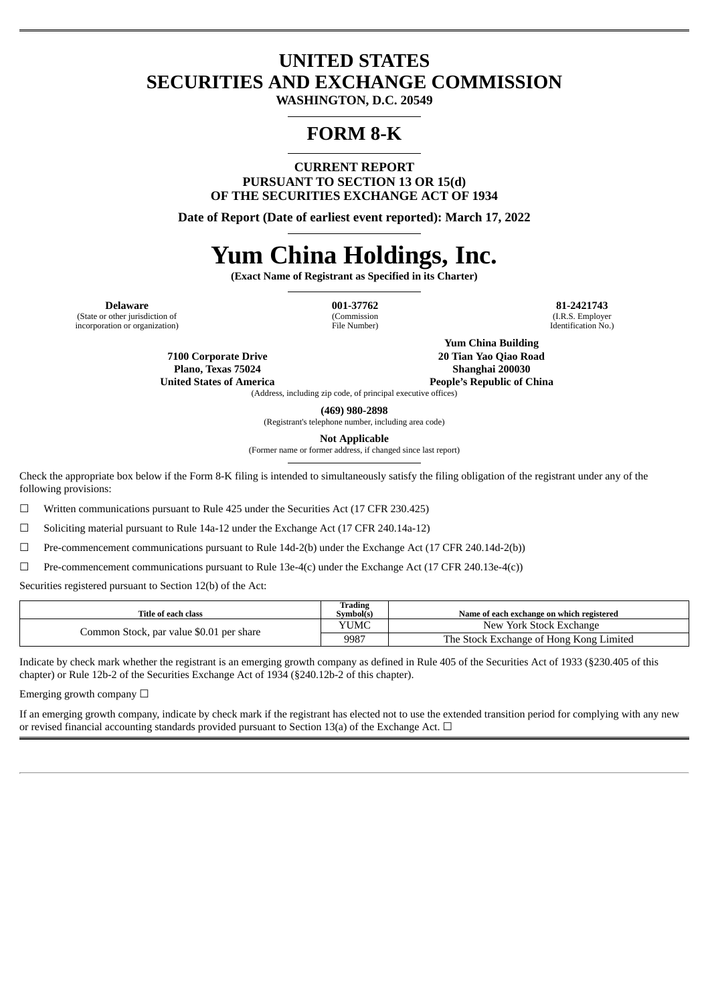# **UNITED STATES SECURITIES AND EXCHANGE COMMISSION**

**WASHINGTON, D.C. 20549**

# **FORM 8-K**

**CURRENT REPORT PURSUANT TO SECTION 13 OR 15(d) OF THE SECURITIES EXCHANGE ACT OF 1934**

**Date of Report (Date of earliest event reported): March 17, 2022**

# **Yum China Holdings, Inc.**

**(Exact Name of Registrant as Specified in its Charter)**

(State or other jurisdiction of incorporation or organization)

(Commission File Number)

**Delaware 001-37762 81-2421743** (I.R.S. Employer Identification No.)

> **7100 Corporate Drive Plano, Texas 75024 United States of America**

**Yum China Building 20 Tian Yao Qiao Road Shanghai 200030**

**People's Republic of China**

(Address, including zip code, of principal executive offices)

**(469) 980-2898** (Registrant's telephone number, including area code)

**Not Applicable**

(Former name or former address, if changed since last report)

Check the appropriate box below if the Form 8-K filing is intended to simultaneously satisfy the filing obligation of the registrant under any of the following provisions:

☐ Written communications pursuant to Rule 425 under the Securities Act (17 CFR 230.425)

☐ Soliciting material pursuant to Rule 14a-12 under the Exchange Act (17 CFR 240.14a-12)

☐ Pre-commencement communications pursuant to Rule 14d-2(b) under the Exchange Act (17 CFR 240.14d-2(b))

☐ Pre-commencement communications pursuant to Rule 13e-4(c) under the Exchange Act (17 CFR 240.13e-4(c))

Securities registered pursuant to Section 12(b) of the Act:

| Title of each class                      | Trading<br>Symbol(s) | Name of each exchange on which registered |
|------------------------------------------|----------------------|-------------------------------------------|
| Common Stock, par value \$0.01 per share | YUMC                 | New York Stock Exchange                   |
|                                          | 9987                 | The Stock Exchange of Hong Kong Limited   |

Indicate by check mark whether the registrant is an emerging growth company as defined in Rule 405 of the Securities Act of 1933 (§230.405 of this chapter) or Rule 12b-2 of the Securities Exchange Act of 1934 (§240.12b-2 of this chapter).

Emerging growth company  $\Box$ 

If an emerging growth company, indicate by check mark if the registrant has elected not to use the extended transition period for complying with any new or revised financial accounting standards provided pursuant to Section 13(a) of the Exchange Act.  $\Box$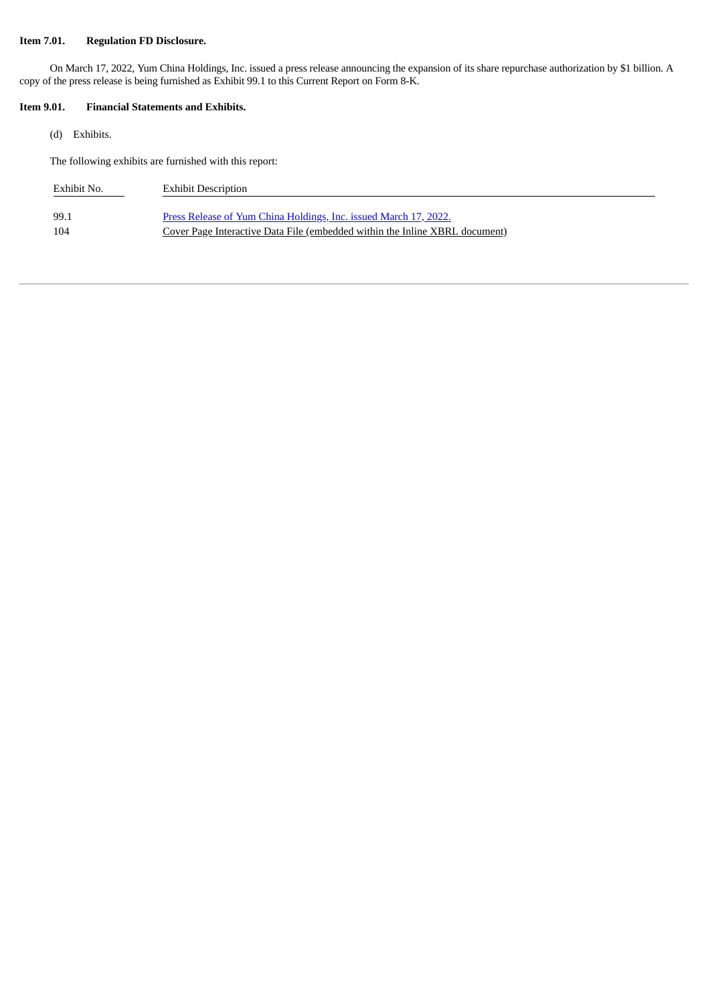# **Item 7.01. Regulation FD Disclosure.**

On March 17, 2022, Yum China Holdings, Inc. issued a press release announcing the expansion of its share repurchase authorization by \$1 billion. A copy of the press release is being furnished as Exhibit 99.1 to this Current Report on Form 8-K.

# **Item 9.01. Financial Statements and Exhibits.**

(d) Exhibits.

The following exhibits are furnished with this report:

| Exhibit No. | <b>Exhibit Description</b>                                                  |
|-------------|-----------------------------------------------------------------------------|
| 99.1        | Press Release of Yum China Holdings, Inc. issued March 17, 2022.            |
| 104         | Cover Page Interactive Data File (embedded within the Inline XBRL document) |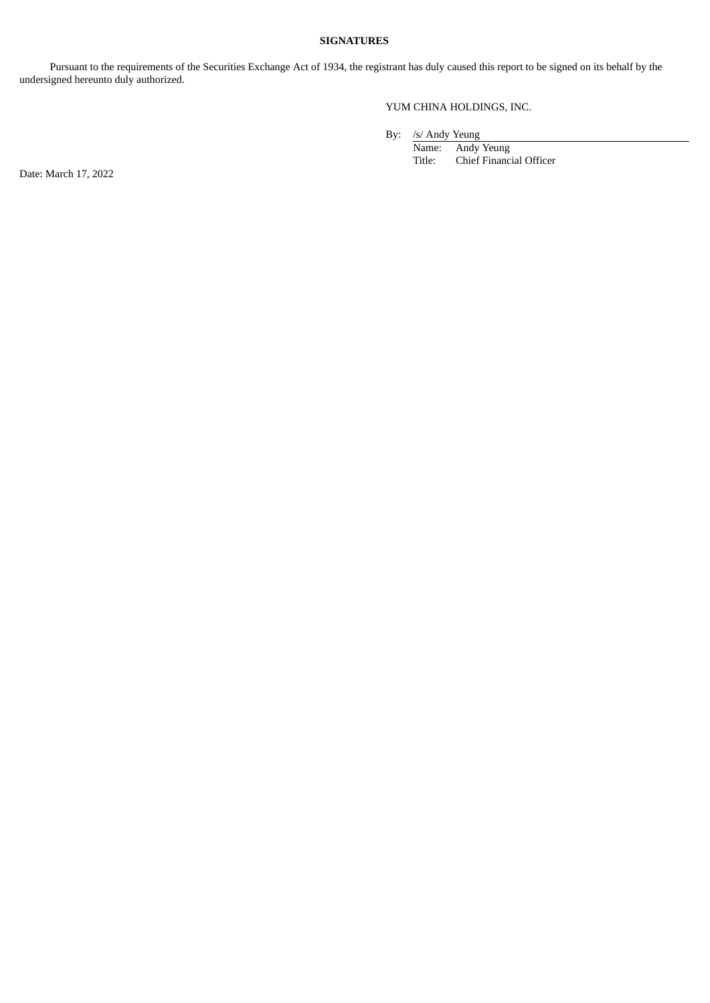## **SIGNATURES**

Pursuant to the requirements of the Securities Exchange Act of 1934, the registrant has duly caused this report to be signed on its behalf by the undersigned hereunto duly authorized.

# YUM CHINA HOLDINGS, INC.

By: /s/ Andy Yeung

Name: Andy Yeung<br>Title: Chief Financ Chief Financial Officer

Date: March 17, 2022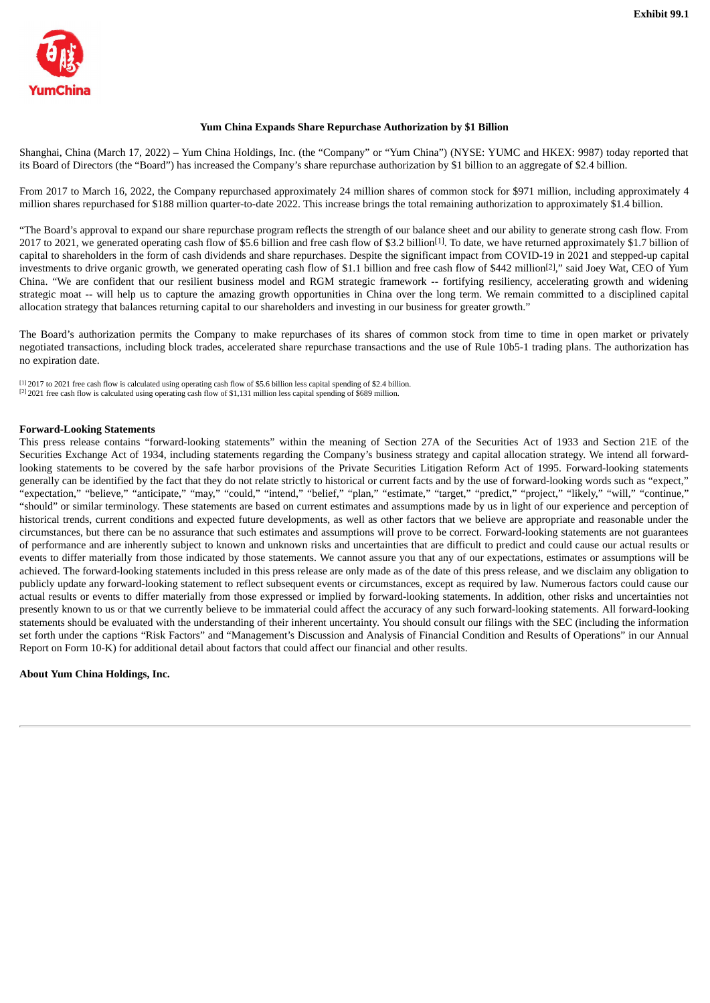<span id="page-3-0"></span>

## **Yum China Expands Share Repurchase Authorization by \$1 Billion**

Shanghai, China (March 17, 2022) – Yum China Holdings, Inc. (the "Company" or "Yum China") (NYSE: YUMC and HKEX: 9987) today reported that its Board of Directors (the "Board") has increased the Company's share repurchase authorization by \$1 billion to an aggregate of \$2.4 billion.

From 2017 to March 16, 2022, the Company repurchased approximately 24 million shares of common stock for \$971 million, including approximately 4 million shares repurchased for \$188 million quarter-to-date 2022. This increase brings the total remaining authorization to approximately \$1.4 billion.

"The Board's approval to expand our share repurchase program reflects the strength of our balance sheet and our ability to generate strong cash flow. From 2017 to 2021, we generated operating cash flow of \$5.6 billion and free cash flow of \$3.2 billion<sup>[1]</sup>. To date, we have returned approximately \$1.7 billion of capital to shareholders in the form of cash dividends and share repurchases. Despite the significant impact from COVID-19 in 2021 and stepped-up capital investments to drive organic growth, we generated operating cash flow of \$1.1 billion and free cash flow of \$442 million<sup>[2]</sup>," said Joey Wat, CEO of Yum China. "We are confident that our resilient business model and RGM strategic framework -- fortifying resiliency, accelerating growth and widening strategic moat -- will help us to capture the amazing growth opportunities in China over the long term. We remain committed to a disciplined capital allocation strategy that balances returning capital to our shareholders and investing in our business for greater growth."

The Board's authorization permits the Company to make repurchases of its shares of common stock from time to time in open market or privately negotiated transactions, including block trades, accelerated share repurchase transactions and the use of Rule 10b5-1 trading plans. The authorization has no expiration date.

[1] 2017 to 2021 free cash flow is calculated using operating cash flow of \$5.6 billion less capital spending of \$2.4 billion. [2] 2021 free cash flow is calculated using operating cash flow of \$1,131 million less capital spending of \$689 million.

#### **Forward-Looking Statements**

This press release contains "forward-looking statements" within the meaning of Section 27A of the Securities Act of 1933 and Section 21E of the Securities Exchange Act of 1934, including statements regarding the Company's business strategy and capital allocation strategy. We intend all forwardlooking statements to be covered by the safe harbor provisions of the Private Securities Litigation Reform Act of 1995. Forward-looking statements generally can be identified by the fact that they do not relate strictly to historical or current facts and by the use of forward-looking words such as "expect," "expectation," "believe," "anticipate," "may," "could," "intend," "belief," "plan," "estimate," "target," "predict," "project," "likely," "will," "continue," "should" or similar terminology. These statements are based on current estimates and assumptions made by us in light of our experience and perception of historical trends, current conditions and expected future developments, as well as other factors that we believe are appropriate and reasonable under the circumstances, but there can be no assurance that such estimates and assumptions will prove to be correct. Forward-looking statements are not guarantees of performance and are inherently subject to known and unknown risks and uncertainties that are difficult to predict and could cause our actual results or events to differ materially from those indicated by those statements. We cannot assure you that any of our expectations, estimates or assumptions will be achieved. The forward-looking statements included in this press release are only made as of the date of this press release, and we disclaim any obligation to publicly update any forward-looking statement to reflect subsequent events or circumstances, except as required by law. Numerous factors could cause our actual results or events to differ materially from those expressed or implied by forward-looking statements. In addition, other risks and uncertainties not presently known to us or that we currently believe to be immaterial could affect the accuracy of any such forward-looking statements. All forward-looking statements should be evaluated with the understanding of their inherent uncertainty. You should consult our filings with the SEC (including the information set forth under the captions "Risk Factors" and "Management's Discussion and Analysis of Financial Condition and Results of Operations" in our Annual Report on Form 10-K) for additional detail about factors that could affect our financial and other results.

**About Yum China Holdings, Inc.**